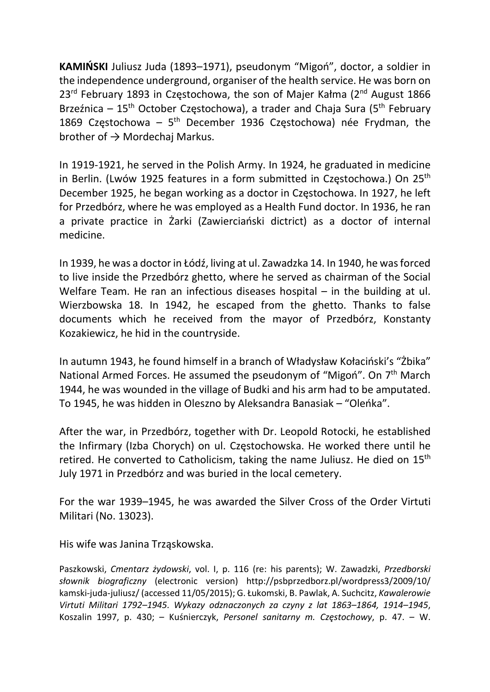KAMIŃSKI Juliusz Juda (1893–1971), pseudonym "Migoń", doctor, a soldier in the independence underground, organiser of the health service. He was born on  $23^{\text{rd}}$  February 1893 in Czestochowa, the son of Maier Kałma (2<sup>nd</sup> August 1866) Brzeźnica –  $15<sup>th</sup>$  October Czestochowa), a trader and Chaja Sura ( $5<sup>th</sup>$  February 1869 Częstochowa –  $5<sup>th</sup>$  December 1936 Częstochowa) née Frydman, the brother of  $\rightarrow$  Mordechaj Markus.

In 1919-1921, he served in the Polish Army. In 1924, he graduated in medicine in Berlin. (Lwów 1925 features in a form submitted in Częstochowa.) On 25<sup>th</sup> December 1925, he began working as a doctor in Częstochowa. In 1927, he left for Przedbórz, where he was employed as a Health Fund doctor. In 1936, he ran a private practice in Żarki (Zawierciański dictrict) as a doctor of internal medicine.

In 1939, he was a doctor in Łódź, living at ul. Zawadzka 14. In 1940, he was forced to live inside the Przedbórz ghetto, where he served as chairman of the Social Welfare Team. He ran an infectious diseases hospital – in the building at ul. Wierzbowska 18. In 1942, he escaped from the ghetto. Thanks to false documents which he received from the mayor of Przedbórz, Konstanty Kozakiewicz, he hid in the countryside.

In autumn 1943, he found himself in a branch of Władysław Kołaciński's "Żbika" National Armed Forces. He assumed the pseudonym of "Migoń". On 7<sup>th</sup> March 1944, he was wounded in the village of Budki and his arm had to be amputated. To 1945, he was hidden in Oleszno by Aleksandra Banasiak – "Oleńka".

After the war, in Przedbórz, together with Dr. Leopold Rotocki, he established the Infirmary (Izba Chorych) on ul. Częstochowska. He worked there until he retired. He converted to Catholicism, taking the name Juliusz. He died on 15<sup>th</sup> July 1971 in Przedbórz and was buried in the local cemetery.

For the war 1939–1945, he was awarded the Silver Cross of the Order Virtuti Militari (No. 13023).

His wife was Janina Trząskowska.

Paszkowski, Cmentarz żydowski, vol. I, p. 116 (re: his parents); W. Zawadzki, Przedborski słownik biograficzny (electronic version) http://psbprzedborz.pl/wordpress3/2009/10/ kamski-juda-juliusz/ (accessed 11/05/2015); G. Łukomski, B. Pawlak, A. Suchcitz, Kawalerowie Virtuti Militari 1792–1945. Wykazy odznaczonych za czyny z lat 1863–1864, 1914–1945, Koszalin 1997, p. 430; – Kuśnierczyk, Personel sanitarny m. Częstochowy, p. 47. – W.